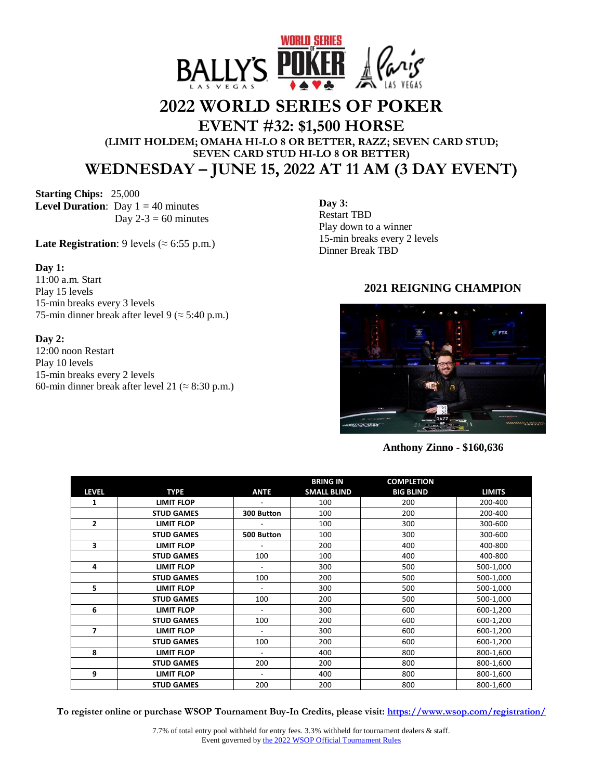

# **2022 WORLD SERIES OF POKER**

**EVENT #32: \$1,500 HORSE** 

**(LIMIT HOLDEM; OMAHA HI-LO 8 OR BETTER, RAZZ; SEVEN CARD STUD; SEVEN CARD STUD HI-LO 8 OR BETTER) WEDNESDAY – JUNE 15, 2022 AT 11 AM (3 DAY EVENT)**

**Starting Chips:** 25,000 **Level Duration**: Day  $1 = 40$  minutes Day  $2-3 = 60$  minutes

**Late Registration**: 9 levels ( $\approx$  6:55 p.m.)

#### **Day 1:**

11:00 a.m. Start Play 15 levels 15-min breaks every 3 levels 75-min dinner break after level 9 ( $\approx$  5:40 p.m.)

#### **Day 2:**

12:00 noon Restart Play 10 levels 15-min breaks every 2 levels 60-min dinner break after level 21 ( $\approx$  8:30 p.m.) **Day 3:** Restart TBD Play down to a winner 15-min breaks every 2 levels Dinner Break TBD

## **2021 REIGNING CHAMPION**



### **Anthony Zinno** - **\$160,636**

|                |                   |                          | <b>BRING IN</b>    | <b>COMPLETION</b> |               |
|----------------|-------------------|--------------------------|--------------------|-------------------|---------------|
| <b>LEVEL</b>   | <b>TYPE</b>       | <b>ANTE</b>              | <b>SMALL BLIND</b> | <b>BIG BLIND</b>  | <b>LIMITS</b> |
| 1              | <b>LIMIT FLOP</b> |                          | 100                | 200               | 200-400       |
|                | <b>STUD GAMES</b> | 300 Button               | 100                | 200               | 200-400       |
| $\overline{2}$ | <b>LIMIT FLOP</b> |                          | 100                | 300               | 300-600       |
|                | <b>STUD GAMES</b> | 500 Button               | 100                | 300               | 300-600       |
| 3              | <b>LIMIT FLOP</b> |                          | 200                | 400               | 400-800       |
|                | <b>STUD GAMES</b> | 100                      | 100                | 400               | 400-800       |
| 4              | <b>LIMIT FLOP</b> | $\overline{\phantom{a}}$ | 300                | 500               | 500-1,000     |
|                | <b>STUD GAMES</b> | 100                      | 200                | 500               | 500-1,000     |
| 5              | <b>LIMIT FLOP</b> |                          | 300                | 500               | 500-1,000     |
|                | <b>STUD GAMES</b> | 100                      | 200                | 500               | 500-1,000     |
| 6              | <b>LIMIT FLOP</b> |                          | 300                | 600               | 600-1,200     |
|                | <b>STUD GAMES</b> | 100                      | 200                | 600               | 600-1,200     |
| $\overline{7}$ | <b>LIMIT FLOP</b> | $\overline{\phantom{a}}$ | 300                | 600               | 600-1,200     |
|                | <b>STUD GAMES</b> | 100                      | 200                | 600               | 600-1,200     |
| 8              | <b>LIMIT FLOP</b> |                          | 400                | 800               | 800-1,600     |
|                | <b>STUD GAMES</b> | 200                      | 200                | 800               | 800-1,600     |
| 9              | <b>LIMIT FLOP</b> | $\overline{\phantom{a}}$ | 400                | 800               | 800-1,600     |
|                | <b>STUD GAMES</b> | 200                      | 200                | 800               | 800-1,600     |

**To register online or purchase WSOP Tournament Buy-In Credits, please visit: <https://www.wsop.com/registration/>**